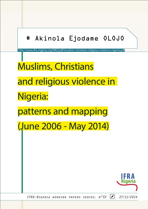# # Akinola Ejodame OLOJO

http://www.ifra-nigeria.org/IMG/pdf/muslims-christians-religious-violence-nigeria.pdf

Muslims, Christians and religious violence in Nigeria: patterns and mapping (June 2006 - May 2014)



*IFRA-Nigeria working papers series, n°32 27/11/2014*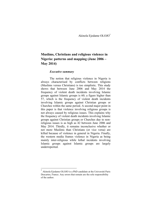# **Muslims, Christians and religious violence in Nigeria: patterns and mapping (June 2006 – May 2014)**

#### *Executive summary*

The notion that religious violence in Nigeria is always characterised by conflicts between religions (Muslims versus Christians) is too simplistic. This study shows that between June 2006 and May 2014 the frequency of violent death incidents involving Islamic groups against Islamic groups is 60; a figure higher than 57, which is the frequency of violent death incidents involving Islamic groups against Christian groups or Churches within the same period. A second major point in this paper is that violence involving religious groups is not always caused by religious issues. This explains why the frequency of violent death incidents involving Islamic groups against Christian groups or Churches due to nonreligious issues is as high as 42 between June 2006 and May 2014. Thirdly, it remains inconclusive whether or not more Muslims than Christians (or vice versa) are killed because of violence in general in Nigeria. Finally, the western media frames violence in Nigeria as being mainly inter-religious while lethal incidents involving Islamic groups against Islamic groups are largely underreported.

Akinola Ejodame OLOJO is a PhD candidate at the Université Paris Descartes, France. Any errors that remain are the sole responsibility of the author.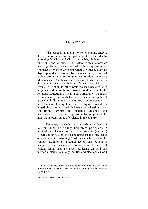#### 1. INTRODUCTION

This paper is an attempt to sketch out and analyse the evolution and diverse patterns of violent deaths involving Muslims and Christians in Nigeria between 1 June  $2006$  and 31 May  $2014$ .<sup>1</sup> Although this nationwide mapping offers representations of the broad spectrum and character of Muslim-Christian religious violence over the 8-year period in focus, it also includes the dynamics of violent deaths of a non-religious nature albeit involving Muslims and Christians. Our assessment also considers the violent interaction between Muslim and Christian groups in relation to other protagonists associated with religious and non-religious issues. Without doubt, the religious institutions of Islam and Christianity in Nigeria are major rallying points for various social and political groups with disparate and sometimes obscure agendas. In fact, the almost ubiquitous use of religious pretexts in Nigeria has at several periods been appropriated by 'nonconforming' groups to instigate violence and inadvertently portray an impression that religion is the most paramount source of violence in the country.

However, this study finds that while the factor of religion cannot be entirely disregarded particularly in light of the character of recurrent crises in (northern) Nigeria, religious issues do not represent the only cause of violent deaths involving Muslims and Christians in the country. Religion as a causal factor must be put in perspective and nuanced with other pertinent sources of violent deaths such as issues bordering on land and territorial claims, ethnicity, politics and elections as well

<u>.</u>

 $<sup>1</sup>$  This period is chosen because the Nigeria Watch database started in</sup> June 2006 and this study seeks to analyse the available data over an 8-year period.

*IFRA-Nigeria epapers series, 2014, n°32*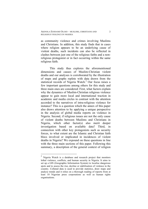as community violence and crimes involving Muslims and Christians. In addition, this study finds that in cases where religion appears to be an underlying cause of violent deaths, such incidents can also be reflected in clashes between just one of the religious faiths and a nonreligious protagonist or in fact occurring within the same religious faith.

This study thus explores the aforementioned dimensions and causes of Muslim-Christian violent deaths and our analyses is corroborated by the illustration of maps and graphs replete with data drawn from the statistical records of Nigeria Watch.<sup>2</sup> Our focus raises a few important questions among others for this study and three main ones are considered: First, what factors explain why the dynamics of Muslim-Christian religious violence appear to gain more local and international traction in academic and media circles in contrast with the attention accorded to the narratives of intra-religious violence for instance? This is a question which the annex of this paper also draws attention to by applying a unique perspective in the analysis of global media reports on violence in Nigeria. Second, if religious issues are not the only cause of violent deaths between Muslims and Christians in Nigeria, which other factor(s) also merit deeper investigation based on available data? Third, in connection with other key protagonists such as security forces, to what extent are the Islamic and Christian faith blocs involved or implicated in incidences of violent deaths in Nigeria? We expound on these questions in line with the three main sections of this paper. Following this summary, a description of the general context of religion

 <sup>2</sup> Nigeria Watch is a database and research project that monitors lethal violence, conflicts, and human security in Nigeria. It aims to set up a GIS (Geographic Information System) to localise dangerous spots and to assess the rise, decline or stabilisation of violence in the country. Collated data is used to provide statistics, draw maps and analyse trends and it relies on a thorough reading of reports from at least 10 Nigerian press corporations as well as human rights organisations.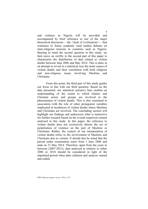and violence in Nigeria will be provided and accompanied by brief reference to one of the major theoretical discourses —the 'clash of civilisations'— that continues to frame academic (and media) debates on inter-religious tensions in countries such as Nigeria. Bearing in mind the second question in this study, we then move on swiftly to the second part of this paper to characterise the distribution of data related to violent deaths between June 2006 and May 2014. This is done in an attempt to reveal in a statistical way the main causes of violent deaths and their correlation with both religious and non-religious issues involving Muslims and Christians.

From this point, the third part of this study guides our focus in line with our third question. Based on the data presented, our statistical narrative here enables an understanding of the extent to which Islamic and Christian actors and groups are involved in the phenomenon of violent deaths. This is also examined in association with the role of other protagonist variables implicated in incidences of violent deaths where Muslims and Christians are involved. The concluding section will highlight our findings and underscore what is instructive for further research based on the overall empirical content analysed in this study. In this paper, the reference to violent deaths does not exclusively denote the act of perpetration of violence on the part of Muslims or Christians. Rather, the context of our interpretation of violent deaths refers to the involvement of Muslims and Christians also as victims. It should also be noted that the period under examination starts from 1 June 2006 and ends on 31 May 2014. Therefore, apart from the years in between (2007-2013), data analysed in relation to either 2006 or 2014 should be considered in light of the stipulated period when data collation and analysis started and ended.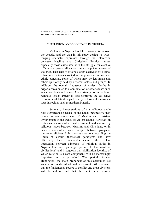AKINOLA EJODAME OLOJO – MUSLIMS, CHRISTIANS AND RELIGIOUS VIOLENCE IN NIGERIA

#### 2. RELIGION AND VIOLENCE IN NIGERIA

Violence in Nigeria has taken various forms over the decades and the data in this study depicts its wideranging character expressed through the interaction between Muslims and Christians. Political issues especially those associated with the struggle for elective offices and power allocation remain a potent source of violence. This state of affairs is often catalysed by a lethal infusion of interests rooted in deep socioeconomic and ethnic concerns, some of which may be legitimate and others spuriously held by different actors and groups. In addition, the overall frequency of violent deaths in Nigeria owes much to a combination of other causes such as car accidents and crime. And certainly not in the least, religious issues appear to also reinforce the collective expression of fatalities particularly in terms of recurrence rates in regions such as northern Nigeria.

Scholarly interpretations of this religious angle hold significance because of the added perspective they brings to our assessment of Muslim and Christian involvement in the trends of violent deaths. However, in instances where violent deaths are not underscored by religious issues between Muslims and Christians, or in cases where violent deaths transpire between groups of the same religious faith, it raises questions regarding the limits of certain theoretical paradigms and how effectively their frameworks capture the violent interaction between adherents of religious faiths in Nigeria. One such paradigm pertains to the 'clash of civilisations' and it suggests that civilisation identity, of which religion is a core component, will be increasingly important in the post-Cold War period. Samuel Huntington, the main proponent of this acclaimed yet widely criticised civilisational thesis went further to assert that the fundamental source of conflict and great divisions will be cultural and that the fault lines between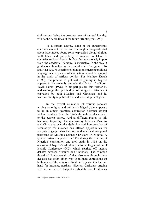civilisations, being the broadest level of cultural identity, will be the battle lines of the future (Huntington 1996).

To a certain degree, some of the fundamental conflicts evident in the era Huntington prognosticated about have indeed found some expression along religious fault lines, and particularly in relation to Islam in countries such as Nigeria. In fact, further scholarly import from the academic literature is instructive in the way it guides our thoughts on the central role of religion. Ellis and Haar (2007) describe religion as an emerging political language whose pattern of interaction cannot be ignored in the study of African politics. For Matthew Kukah (1993), the process of political bargaining in Nigeria appears to increasingly embody the factor of religion. Toyin Falola (1998), in his part pushes this further by underscoring the profundity of religious attachment expressed by both Muslims and Christians and its instrumentality in political life and leadership in Nigeria.

In the overall estimation of various scholars writing on religion and politics in Nigeria, there appears to be an almost seamless connection between several violent incidents from the 1960s through the decades up to the current period. And at different phases in this historical trajectory, the controversy between Muslims and Christians over the definition and interpretation of 'secularity' for instance has offered opportunities for analysts to gauge what they see as diametrically-opposed platforms of Muslims against Christians in Nigeria. A typical instance appeared in 1976 during the drafting of Nigeria's constitution and then again in 1986 on the occasion of Nigeria's admittance into the Organisation of Islamic Conference (OIC), which sparked off intense debates between Muslims and Christians. The common thread of 'fundamentalism' that also runs through these decades has often given way to militant expressions on both sides of the religious divide in Nigeria. On the one hand for instance, northern Nigerian Christians arguing self-defence, have in the past justified the use of militancy

*IFRA-Nigeria epapers series, 2014, n°32*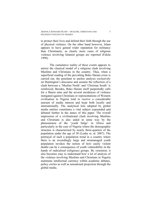to protect their lives and defend their faith through the use of physical violence. On the other hand however, Islam appears to have gained wider reputation for militancy than Christianity, as clearly more cases of religious violence involving Islamist groups are reported (Falola 1998).

The cumulative reality of these events appears to mirror the classical model of a religious clash involving Muslims and Christians in the country. Thus, when a superficial reading of the prevailing Boko Haram crisis is carried out, the penchant to anchor analysis exclusively on Huntington's discourse and assume the reflection of a clash between a 'Muslim North' and 'Christian South' is reinforced. Besides, Boko Haram itself purportedly calls for a Sharia state and the several incidences of violence instigated against Christians or representations of Western civilisation in Nigeria tend to receive a considerable amount of media interest and hype both locally and internationally. The analytical lens adopted by global media entities constitutes a vital subject expounded and debated further in the annex of this paper. The overall impression of a civilisational clash involving Muslims and Christians is also aided in some way by the phenomenon of the 'youth bulge' in Africa and particularly in the case of Nigeria where the demographic structure is characterised by nearly three-quarters of the population under the age of 30 (Leahy et. al. 2007). The portrayal of such a population trend in a country where there is an exceedingly large and mismanaged youth population invokes the notion of how easily violent deaths can be a consequence of youth vulnerability in the hands of radicalised (religious) groups. By extension, it also becomes easy to understand how a lot of analysis of the violence involving Muslims and Christians in Nigeria maintains intellectual currency within academic debates, policy circles as well as sensational projection through the global media.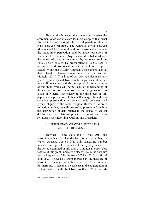Beyond this however, the connections between the aforementioned variables are far more complex than what fits perfectly into a single theoretical paradigm about a clash between religions. The religious divide between Muslims and Christians should not be overstated because the monolithic perception held by many observers of Islam and Christianity in Nigeria should be balanced with the sense of caution expressed by scholars such as Pérouse de Montclos. He draws attention to the need to recognise the divisions within Islam as well as disruptive factors within the Muslim Ummah, which crises such as that related to Boko Haram underscore (Pérouse de Montclos 2014). This kind of perspective holds merit as a guard against speculative counter-arguments about an inter-religious clash and also as a guide for other aspects of our study which will permit a fuller understanding of the idea of divisions or schisms within religions such as Islam in Nigeria. Particularly in the third part of this paper, an appreciation of this will emerge through our statistical presentation of violent trends between rival groups aligned to the same religion. However, before a reflection on that, we will proceed to present and analyse the distribution of data related to the causes of violent deaths and its relationship with religious and nonreligious issues involving Muslims and Christians.

# 3.1. FREQUENCY OF VIOLENT DEATHS AND THEIR CAUSES

Between 1 June 2006 and 31 May 2014, the absolute number of violent deaths recorded by the Nigeria Watch database was 61 241. This staggering number indicated in figure 1 is spread out on a yearly basis over the period examined in this study. Although an observable feature of this graph indicates a steady rise in the absolute yearly frequency of deaths from 2009 to 2013, a critical look at 2014 reveals a sharp increase in the measure of absolute frequency just within a period of five months. Furthermore, in less than a year's span, the aggregation of violent deaths for the first five months of 2014 exceeds

*IFRA-Nigeria epapers series, 2014, n°32*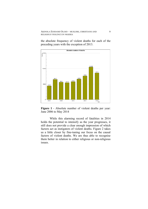the absolute frequency of violent deaths for each of the preceding years with the exception of 2013.



**Figure 1** - Absolute number of violent deaths per year: June 2006 to May 2014

While this alarming record of fatalities in 2014 holds the potential to intensify as the year progresses, it still does not provide a clear enough impression of which factors act as instigators of violent deaths. Figure 2 takes us a little closer by fine-tuning our focus on the causal factors of violent deaths. We are thus able to recognise them better in relation to either religious or non-religious issues.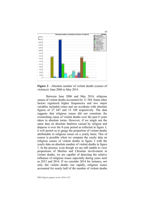

**Figure 2** - Absolute number of violent deaths (causes of violence): June 2006 to May 2014

Between June 2006 and May 2014, religious causes of violent deaths accounted for 11 384. Some other factors registered higher frequencies and two major variables included crime and car accidents with absolute figures of 27 647 and 15 109 respectively. The data suggests that religious issues did not constitute the overarching cause of violent deaths over the past 8 years taken in absolute terms. However, if we single out the same data on absolute fatalities caused by religion and disperse it over the 8-year period as reflected in figure 3, it will permit us to gauge the proportion of violent deaths attributable to religious issues on a yearly basis. This of course is possible when we compare the yearly data on religious causes of violent deaths in figure 3 with the yearly data on absolute number of violent deaths in figure 1. In the process, even though we are still unable to view proportions of Muslim and Christian involvement in violent deaths, we are capable of detecting the relative influence of religious issues especially during years such as 2013 and 2014. If we consider 2014 for instance, not only did violent deaths rise rapidly, religious issues accounted for nearly half of the number of violent deaths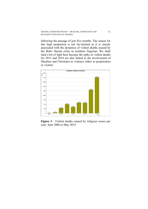following the passage of just five months. The reason for this high proportion is not far-fetched as it is closely associated with the dynamics of violent deaths caused by the Boko Haram crisis in northern Nigerian. We shall shed a bit of light here because the spike in violent deaths for 2013 and 2014 are also linked to the involvement of Muslims and Christians in violence either as perpetrators or victims.



**Figure 3** - Violent deaths caused by religious issues per year: June 2006 to May 2014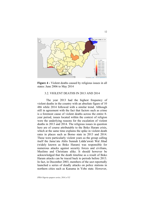

**Figure 4 -** Violent deaths caused by religious issues in all states: June 2006 to May 2014

### 3.2. VIOLENT DEATHS IN 2013 AND 2014

The year 2013 had the highest frequency of violent deaths in the country with an absolute figure of 10 486 while 2014 followed with a similar trend. Although still in agreement with the fact that factors such as crime is a foremost cause of violent deaths across the entire 8 year period, issues located within the context of religion were the underlying reasons for the escalation of violent deaths in 2013 and 2014. The religious issues in question here are of course attributable to the Boko Haram crisis, which at the same time explains the spike in violent death rates in places such as Borno state in 2013 and 2014. These were particularly violent years as the group calling itself the Jama'atu Ahlis Sunnah Lidda'awati Wal Jihad (widely known as Boko Haram) was responsible for numerous attacks against security forces and civilians, Muslims and Christians alike. It should however be acknowledged that the death timeline as a result of Boko Haram attacks can be traced back to periods before 2013. In fact, in December 2003, members of the sect reportedly launched a series of deadly attacks on police stations in northern cities such as Kanama in Yobe state. However,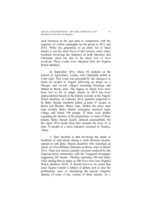such instances in the past pale in comparison with the sequence of violent onslaughts by the group in 2013 and 2014. While the generation of an entire list of these attacks is not the main focus of this section, some major incidents involving the fatalities of both Muslims and Christians stand out due to the sheer loss of lives involved. These events were obtained from the Nigeria Watch database.

In September 2013, about 50 students of the School of Agriculture, Guijba were reportedly killed in Yobe state. This event was preceded by the massacre of about 49 people in August following an attack on a Mosque and several villages including Konduga and Malari in Borno state. The degree to which lives have been lost so far in single attacks in 2014 has been unprecedented based on the fatality records in the Nigeria Watch database. In February 2014, gunmen suspected to be Boko Haram members killed at least 47 people in Bama and Buratai, Borno state. Within the same state (and month), Boko Haram insurgents attacked Izghe village and killed 106 people. If there exist doubts regarding the identity of the perpetrators of some of these attacks, Boko Haram clearly claimed responsibility for the April 2014 bomb blast that claimed the lives of at least 70 people at a mass transport terminal in Nyanya, Abuja.

A final incident is that involving the death of hundreds of individuals during a clash between security operatives and Boko Haram members who launched an attack on Giwa Military Barracks in Borno state in March 2014. There are various casualty accounts rendered by the Nigerian press community with the Vanguard newspaper suggesting 207 deaths, ThisDay reporting 350 and Daily Trust stating that as many as 500 lives were lost (Nigeria Watch database 2014). It should however be noted that exact figures remain a subject of debate and so also the problematic issue of identifying the precise religious identity of some of the victims of these attacks. As a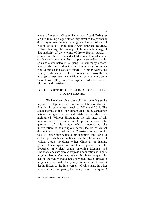matter of research, Chouin, Reinert and Apard (2014) set out this thinking eloquently as they attest to the particular difficulty of ascertaining the religious identities of several victims of Boko Haram attacks with complete accuracy. Notwithstanding, the findings of these scholars suggest that majority of the victims of Boko Haram attacks – around two-thirds– are indeed Muslims. This of course challenges the commonplace temptation to understand the crisis as a war between religions. For our study's focus, what is also not in doubt is the diverse range of actors who comprise the casualty figures. In other words, the fatality profiles consist of victims who are Boko Haram insurgents, members of the Nigerian government's Joint Task Force (JTF) and once again, civilians who are Muslims and Christians.

# 4.1. FREQUENCIES OF MUSLIM AND CHRISTIAN VIOLENT DEATHS

We have been able to establish to some degree the impact of religious issues on the escalation of absolute fatalities in certain years such as 2013 and 2014. The added bearing of the Boko Haram crisis on the connection between religious issues and fatalities has also been highlighted. Without disregarding the relevance of this link, we must at the same time keep in mind one of the questions of this study which underscores the interrogation of non-religious causal factors of violent deaths involving Muslims and Christians, as well as the role of other non-religious protagonists that have at certain periods been implicated in the phenomenon of violent deaths involving either Christian or Islamic groups. Once again, we must re-emphasise that the frequency of violent deaths involving Muslims and Christians does not always express a connection with only religious issues. One way to test this is to compare the data in the yearly frequencies of violent deaths linked to religious issues with the yearly frequencies of violent deaths linked to the involvement of Christians. In other words, we are comparing the data presented in figure 3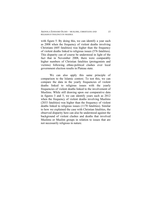with figure 5. By doing this, we can identify a year such as 2008 when the frequency of violent deaths involving Christians (605 fatalities) was higher than the frequency of violent deaths linked to religious issues (576 fatalities). This disparity can of course be understood in light of the fact that in November 2008, there were comparably higher numbers of Christian fatalities (protagonists and victims) following ethno-political clashes over local government election results in Plateau state.

We can also apply this same principle of comparison to the Islamic context. To test this, we can compare the data in the yearly frequencies of violent deaths linked to religious issues with the yearly frequencies of violent deaths linked to the involvement of Muslims. While still drawing upon our comparative data in figures 3 and 5, we can identify years such as 2012 when the frequency of violent deaths involving Muslims (2033 fatalities) was higher than the frequency of violent deaths linked to religious issues (1170 fatalities). Similar to how we explained the case with Christian fatalities, the observed disparity here can also be understood against the background of violent clashes and deaths that involved Muslims or Muslim groups in relation to issues that are not necessarily religious in nature.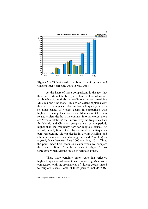

**Figure 5** - Violent deaths involving Islamic groups and Churches per year: June 2006 to May 2014

At the heart of these comparisons is the fact that there are certain fatalities (or violent deaths) which are attributable to entirely non-religious issues involving Muslims and Christians. This to an extent explains why there are certain years reflecting lower frequency bars for religious causes of violent deaths in comparison with higher frequency bars for either Islamic- or Christianrelated violent deaths in the country. In other words, there are 'excess fatalities' that inform why the frequency bars for Islamic and Christian groups are at certain periods higher than the frequency bars for religious causes. As already noted, figure 5 displays a graph with frequency bars representing violent deaths involving Muslims and Christians (indicated as Islamic groups and Churches) on a yearly basis between June 2006 and May 2014. Thus, the point made here becomes clearer when we compare the data in figure 5 with the data in figure 3 that represents violent deaths linked to religious issues.

There were certainly other years that reflected higher frequencies of violent deaths involving Muslims in comparison with the frequencies of violent deaths linked to religious issues. Some of these periods include 2007,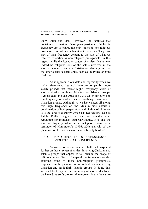2009, 2010 and 2013. However, the fatalities that contributed to making these years particularly higher in frequency are of course not only linked to non-religious issues such as politics or land/territorial crisis. They owe part of their frequency content to the role of what we referred to earlier as non-religious protagonists. In this regard, while the issues or causes of violent deaths may indeed be religious, one of the actors involved in the violent encounter can be a Christian or Islamic group and the other a state security entity such as the Police or Joint Task Force.

As it appears in our data and especially when we make reference to figure 5, there are comparably more yearly periods that reflect higher frequency levels of violent deaths involving Muslims or Islamic groups. Typical cases include 2012 and 2013 which far outweigh the frequency of violent deaths involving Christians or Christian groups. Although as we have noted all along, this high frequency on the Muslim side entails a combination of both perpetrators and victims of violence, it is the kind of disparity which has led scholars such as Falola (1998) to suggest that Islam has gained a wider reputation for militancy than Christianity. It is also the kind of disparity which in a metaphoric sense is a reminder of Huntington's (1996, 254) analysis of the phenomenon he describes as 'Islam's bloody borders'.

# 4.2. BEYOND FREQUENCIES: DIMENSIONS OF VIOLENT DEATHS INCIDENTS

As we return to our data, we shall try to expound further on those 'excess fatalities' involving Christian and Islamic groups that appear to fall outside the scope of religious issues. We shall expand our framework to also examine some of those non-religious protagonists implicated in the phenomenon of violent deaths involving Christian and particularly Islamic groups. In doing this, we shall look beyond the frequency of violent deaths as we have done so far, to examine more critically the nature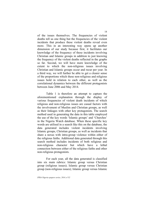of the issues themselves. The frequencies of violent deaths tell us one thing but the frequencies of the violent incidents that produce these violent deaths reveal even more. This in an interesting way opens up another dimension of our study because first, it facilitates our knowledge of the frequency of these incidents involving Christian and Islamic groups in addition to just knowing the frequency of the violent deaths reflected in the graphs so far. Second, we will have more knowledge of the extent to which the non-religious issues involving Christian and Islamic groups occur and recur per year. In a third way, we will further be able to get a clearer sense of the proportions which these non-religious and religious issues hold in relation to each other, as well as the correlational dynamics between the different protagonists between June 2006 and May 2014.

Table 1 is therefore an attempt to capture the aforementioned explanation through the display of various frequencies of violent death incidents of which religious and non-religious issues are casual factors with the involvement of Muslim and Christian groups, as well as their linkages with other key protagonists. The search method used in generating the data in this table employed the use of the key words 'Islamic groups' and 'Churches' in the Nigeria Watch database. When these specific key words are utilised in a search like this on the database, the data generated includes violent incidents involving Islamic groups, Christian groups, as well as incidents that share a nexus with intra-group violence within either of the religious faiths. Additional data generated through this search method includes incidents of both religious and non-religious character but which have a lethal connection between either of the religious faiths and other non-religious protagonists.

For each year, all the data generated is classified into six main rubrics: Islamic group versus Christian group (religious issues); Islamic group versus Christian group (non-religious issues); Islamic group versus Islamic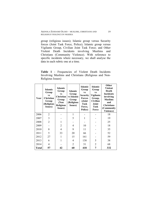group (religious issues); Islamic group versus Security forces (Joint Task Force, Police); Islamic group versus Vigilante Group, Civilian Joint Task Force; and Other Violent Death Incidents involving Muslims and Christians (Community Violence). With reference to specific incidents where necessary, we shall analyse the data in each rubric one at a time.

**Table 1** - Frequencies of Violent Death Incidents Involving Muslims and Christians (Religious and Non-Religious Issues)

| Year         | <b>Islamic</b><br>Group<br><b>VS</b><br>Christian<br>Group<br>(Religious<br><b>Issues</b> ) | Islamic<br>Group<br><b>VS</b><br><b>Christian</b><br>Group<br>(Non<br><b>Religious</b><br><b>Issues</b> ) | Islamic<br>Group<br>vs Islamic<br>Group<br>(Religious<br><b>Issues</b> ) | Islamic<br>Group<br><b>VS</b><br><b>Security</b><br><b>Forces</b><br>(Joint<br><b>Task</b><br>Force,<br>Police) | <b>Islamic</b><br>Group<br><b>VS</b><br>Vigilante<br>Group,<br>Civilian<br>Joint<br><b>Task</b><br>Force | Other<br><b>Violent</b><br>Death<br><b>Incidents</b><br>involving<br><b>Muslims</b><br>and<br><b>Christians</b><br>(Community<br>Violence) |
|--------------|---------------------------------------------------------------------------------------------|-----------------------------------------------------------------------------------------------------------|--------------------------------------------------------------------------|-----------------------------------------------------------------------------------------------------------------|----------------------------------------------------------------------------------------------------------|--------------------------------------------------------------------------------------------------------------------------------------------|
| 2006         | $\overline{2}$                                                                              |                                                                                                           | 1                                                                        |                                                                                                                 |                                                                                                          | 18                                                                                                                                         |
| 2007         | 3                                                                                           |                                                                                                           | 5                                                                        | 1                                                                                                               |                                                                                                          | 19                                                                                                                                         |
| 2008         | $\overline{2}$                                                                              | 1                                                                                                         |                                                                          |                                                                                                                 |                                                                                                          | 25                                                                                                                                         |
| 2009         |                                                                                             | $\overline{2}$                                                                                            | 4                                                                        | 10                                                                                                              |                                                                                                          | 18                                                                                                                                         |
| 2010         | 8                                                                                           | 4                                                                                                         | 9                                                                        | 11                                                                                                              |                                                                                                          | 35                                                                                                                                         |
| 2011         | 5                                                                                           | 33                                                                                                        | 20                                                                       | 66                                                                                                              |                                                                                                          | 52                                                                                                                                         |
| 2012         | 27                                                                                          | 1                                                                                                         | 15                                                                       | 161                                                                                                             |                                                                                                          | 59                                                                                                                                         |
| 2013         | 6                                                                                           | 1                                                                                                         | 4                                                                        | 138                                                                                                             | 5                                                                                                        | 38                                                                                                                                         |
| 2014         | 4                                                                                           |                                                                                                           | $\overline{2}$                                                           | 31                                                                                                              | $\overline{2}$                                                                                           | 68                                                                                                                                         |
| <b>Total</b> | 57                                                                                          | 42                                                                                                        | 60                                                                       | 418                                                                                                             | 7                                                                                                        | 332                                                                                                                                        |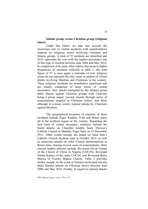# **Islamic group versus Christian group (religious issues)**

Under this rubric, we take into account the recurrence rate of violent incidents with manifestations inspired by religious issues involving Christian and Islamic groups. A total of 57 incidents are identified and 2012 represents the year with the highest prevalence rate of this type of incident between June 2006 and May 2014. In comparison with some other rubrics that possess higher frequencies of incidents reflected in table 1, this total figure of 57 is once again a reminder of how religious issues do not represent the only cause or pattern of violent deaths involving Muslims and Christians in the country. These religious incidents are nonetheless significant and are mainly comprised of three forms of violent encounters: first, attacks instigated by the Islamist group Boko Haram against Christian groups with Churches being a prime target; second, attacks through series of assassinations targeted at Christian clerics; and third, although to a lesser extent, reprisal attacks by Christians against Muslims.

The geographical locations of majority of these incidents include Niger, Kaduna, Yobe and Borno states all in the northern region of the country. Regarding the first form of violent encounter, instances include the bomb attacks on Churches notably Saint Theresa's Catholic Church in Madalla, Niger State on 25 December 2011. Other events include the attack on Saint Rita's Catholic Church, Kaduna state in October 2012, as well as numerous attacks on other Church denominations in Borno state. Among several cases of assassinations, three clerical leaders affected include: Reverend David Usman of the Church of Christ in Nigeria (COCIN); Reverend Ilaisha Kabura of the same COCIN; and Reverend Bulus Marwa of Victory Baptist Church. Table 2 provides further insight on the trend of Islamist-motivated (mostly Boko Haram) attacks on Christian clerics between June 2006 and May 2014. Finally, in regard to reprisal attacks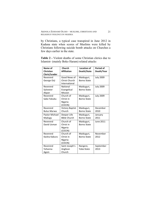by Christians, a typical case transpired in June 2012 in Kaduna state when scores of Muslims were killed by Christians following suicide bomb attacks on Churches a few days earlier in the state.

**Table 2 -** Violent deaths of some Christian clerics due to Islamist- (mainly Boko Haram) related attacks

| Name of<br>Christian  | Church<br><b>Affiliation</b>   | <b>Location of</b><br>Death/State | <b>Period of</b><br>Death/Year |
|-----------------------|--------------------------------|-----------------------------------|--------------------------------|
| Cleric/Leader         |                                |                                   |                                |
| Reverend              | Good News of                   | Maiduguri,                        | <b>July 2009</b>               |
| George Orji           | Christ Church<br>International | <b>Borno State</b>                |                                |
| Reverend              | National                       | Maiduguri,                        | <b>July 2009</b>               |
| Sylvester             | Evangelical                    | <b>Borno State</b>                |                                |
|                       | <b>Mission</b>                 |                                   |                                |
| Akpan                 |                                |                                   |                                |
| Reverend              | Church of                      | Maiduguri,                        | <b>July 2009</b>               |
| Sabo Yakubu           | Christ in                      | <b>Borno State</b>                |                                |
|                       | Nigeria                        |                                   |                                |
|                       | (COCIN)                        |                                   |                                |
| Reverend              | <b>Victory Baptist</b>         | Maiduguri,                        | December                       |
| <b>Bulus Marwa</b>    | Church                         | <b>Borno State</b>                | 2010                           |
| <b>Pastor Michael</b> | Deeper Life                    | Maiduguri,                        | January                        |
| Madugu                | <b>Bible Church</b>            | <b>Borno State</b>                | 2011                           |
| Reverend              | Church of                      | Maiduguri,                        | June 2011                      |
| David Usman           | Christ in                      | <b>Borno State</b>                |                                |
|                       | Nigeria                        |                                   |                                |
|                       | (COCIN)                        |                                   |                                |
| Reverend              | Church of                      | Maiduguri,                        | November                       |
| Ilaisha Kabura        | Christ in                      | <b>Borno State</b>                | 2012                           |
|                       | Nigeria                        |                                   |                                |
|                       | (COCIN)                        |                                   |                                |
| Reverend              | Saint Joseph's                 | Nangere,                          | September                      |
| Yohanna               | Anglican                       | Yobe State                        | 2013                           |
| Agom                  | Church                         |                                   |                                |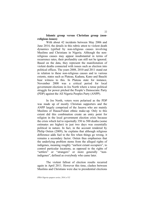# **Islamic group versus Christian group (nonreligious issues)**

With about 42 incidents between May 2006 and June 2014, the details in this rubric attest to violent death dynamics typified by non-religious causes involving Muslims and Christians in Nigeria. Although the nonreligious causes may appear insubstantial in terms of recurrence rates, their profundity can still not be ignored. Based on the data, they represent the manifestation of violent deaths connected with issues such as election into political offices. The years 2008, 2010 and 2011 stand out in relation to these non-religious causes and to various extents, states such as Plateau, Kaduna, Kano and Bauchi bear witness to this. In Plateau state for instance, November 2008 was a critical period for local government elections in Jos North where a tense political struggle for power pitched the People's Democratic Party (PDP) against the All Nigeria Peoples Party (ANPP).

In Jos North, voters were polarised as the PDP was made up of mostly Christian supporters and the ANPP largely comprised of the Jasawa who are mainly Muslims of Hausa/Fulani ethnic make-up. Only to this extent did this combination create an entry point for religion in the local government election crisis because the crisis which led to reportedly 350 to 500 deaths (some estimates are higher) in just two days was essentially political in nature. In fact, in the account rendered by Philip Ostien (2009), he explains that although religious difference adds fuel to the fire when things go wrong, it remains a secondary factor. Ostien thus emphasises that the underlying problem stems from the alleged rights of indigenes, meaning roughly "earliest extant occupiers", to control particular locations, as opposed to the rights of "settlers" or "strangers" or more generally "nonindigenes", defined as everybody who came later.

The violent fallout of election results recurred again in April 2011. However this time, clashes between Muslims and Christians were due to presidential elections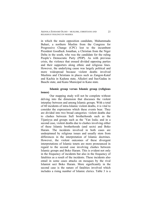in which the main opposition candidate, Muhammadu Buhari, a northern Muslim from the Congress for Progressive Change (CPC) lost to the incumbent President Goodluck Jonathan, a Christian from the Niger Delta in the south, who was the candidate for the ruling People's Democratic Party (PDP). As with previous crisis, the violence that ensued divided opposing parties and their supporters along ethnic and religious lines. However, the underlying cause was largely political and more widespread because violent deaths involved Muslims and Christians in places such as Zangon-Kataf and Kachia in Kaduna state, Alkaleri and Itas/Gadau in Bauchi state, and Kano Municipal in Kano state.

# **Islamic group versus Islamic group (religious issues)**

Our mapping study will not be complete without delving into the dimension that discusses the violent interplay between and among Islamic groups. With a total of 60 incidents of intra-Islamic violent deaths, it is vital to consider the expressions which these events bear. They are divided into two broad categories: violent deaths due to clashes between Sufi brotherhoods such as the Tijaniyya and groups such as the 'Yan Izala; and in a second case, violent deaths due to clashes involving either of these Islamic brotherhoods (and sects) and Boko Haram. The incidents involved in both cases are underpinned by religious issues and usually stem from differences in the interpretation of Islamic doctrines. However, the violent outcomes of these divergent interpretations of Islamic tenets are more pronounced in regard to the second case involving clashes between Islamic groups and Boko Haram. This is evident not only in the frequency of incidents but also in the frequency of fatalities as a result of the incidents. These incidents also entail in some cases attacks on mosques by the rival Islamist sect Boko Haram. More significantly in the second case is the nature of fatalities involved which includes a rising number of Islamic clerics. Table 3 is a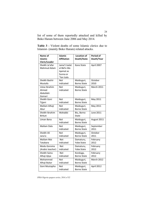list of some of them reportedly attacked and killed by Boko Haram between June 2006 and May 2014.

**Table 3** - Violent deaths of some Islamic clerics due to Islamist- (mainly Boko Haram) related attacks.

| Name of                                       | <b>Islamic</b>                                                      | <b>Location of</b>               | <b>Period of</b>  |
|-----------------------------------------------|---------------------------------------------------------------------|----------------------------------|-------------------|
| Islamic                                       | <b>Affiliation</b>                                                  | Death/State                      | Death/Year        |
| Cleric/Leader                                 |                                                                     |                                  |                   |
| Sheikh Ja'afar<br>Mahmud Adam                 | Jama't Izalat<br>al Bid'a Wa<br>Igamat as<br>Sunna or<br>'Yan Izala | Kano State                       | April 2007        |
| Sheikh Bashir                                 | <b>Not</b>                                                          | Maiduguri,                       | October           |
| Mustafa                                       | indicated                                                           | <b>Borno State</b>               | 2010              |
| Ustaz Ibrahim<br>Ahmed<br>Abdullahi<br>Gomari | Not<br>indicated                                                    | Maiduguri,<br>Borno State        | <b>March 2011</b> |
| Sheikh Goni                                   | <b>Not</b>                                                          | Maiduguri,                       | May 2011          |
| Tijjani                                       | indicated                                                           | <b>Borno State</b>               |                   |
| Mallam Alhaji                                 | Not                                                                 | Maiduguri,                       | May 2011          |
| Ahur                                          | indicated                                                           | Borno State                      |                   |
| Sheikh Ibrahim<br>Birkuti                     | Wahabbi                                                             | Biu, Borno<br><b>State</b>       | June 2011         |
| Liman Bana                                    | <b>Not</b><br>indicated                                             | Maiduguri,<br><b>Borno State</b> | August 2011       |
| Mallam Dala                                   | <b>Not</b>                                                          | Maiduguri,                       | September         |
|                                               | indicated                                                           | <b>Borno State</b>               | 2011              |
| Sheikh Ali                                    | <b>Not</b>                                                          | Maiduguri,                       | October           |
| Jana'a                                        | indicated                                                           | Borno State                      | 2011              |
| Mallam Mai                                    | <b>Not</b>                                                          | Damaturu,                        | February          |
| Tatabara                                      | indicated                                                           | <b>Yobe State</b>                | 2012              |
| Modu Goroma                                   | Not                                                                 | Damaturu,                        | February          |
| (Arabic teacher)                              | indicated                                                           | <b>Yobe State</b>                | 2012              |
| Sheikh Saina                                  | Not                                                                 | Konduga,                         | February          |
| Alhaji Ajiya                                  | indicated                                                           | <b>Borno State</b>               | 2012              |
| Mohammed                                      | Not                                                                 | Maiduguri,                       | March 2012        |
| Alhaji Bukar                                  | indicated                                                           | <b>Borno State</b>               |                   |
| Goni Mustapha                                 | Not<br>indicated                                                    | Maiduguri,<br><b>Borno State</b> | April 2012        |

*IFRA-Nigeria epapers series, 2014, n°32*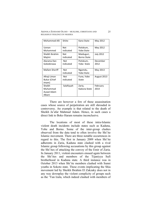AKINOLA EJODAME OLOJO – MUSLIMS, CHRISTIANS AND RELIGIOUS VIOLENCE IN NIGERIA

| <b>Mohammed Alli</b>                         | Shiite           | Kano State                | May 2012         |
|----------------------------------------------|------------------|---------------------------|------------------|
| Usman<br>Muhammed                            | Not<br>indicated | Potiskum,<br>Yobe State   | May 2012         |
| Sheikh Ibrahim<br>Majimi                     | Not<br>indicated | Maiduguri,<br>Borno State | <b>July 2012</b> |
| Alarama Dan<br>Gobobirawa                    | Not<br>indicated | Potiskum,<br>Yobe State   | December<br>2012 |
| <b>Mallam Sheriff</b>                        | Not<br>indicated | Ngamdu,<br>Yobe State     | May 2013         |
| Alhaji Liman<br><b>Bukar (Chief</b><br>Imam) | Not<br>indicated | Fune, Yobe<br>State       | August 2013      |
| Sheikh<br>Muhammad<br>Auwal Adam<br>Albani   | Salafiyyah       | Zaria,<br>Kaduna State    | February<br>2014 |

There are however a few of these assassination cases whose source of perpetration are still shrouded in controversy. An example is that related to the death of Sheikh Ja'afar Mahmud Adam. Hence, in such cases a direct link to Boko Haram remains inconclusive.

The locations of most of these intra-Islamic violent death incidents include states such as Kaduna, Yobe and Borno. Some of the inter-group clashes observed from the data tend to often involve the Shi'ite Islamic movement. There are three notable occurrences in regard to this. The first in January 2009 when Shi'ite adherents in Zaria, Kaduna state clashed with a rival Islamic group following accusations by this group against the Shi'ites of attacking the convoy of the Emir of Zaria. In January 2011, violent encounters ensued again between the Shi'ites and members of the Tijaniyya Sufi brotherhood in Kaduna state. A third instance was in October 2013 when Shi'ite members clashed with Sunni youths in Sokoto state. These events implicating the Shia movement led by Sheikh Ibrahim El Zakzaky does not in any way downplay the violent complicity of groups such as the 'Yan Izala, which indeed clashed with members of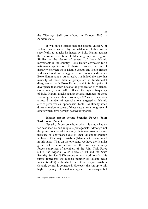the Tijaniyya Sufi brotherhood in October 2013 in Zamfara state.

It was noted earlier that the second category of violent deaths caused by intra-Islamic clashes refers specifically to attacks instigated by Boko Haram against the entire cross-section of Islamic groups in Nigeria. Similar to the desire of several of these Islamic movements in the country, Boko Haram advocates for a nationwide application of Sharia. However, the line of disparity between these Islamic groups and Boko Haram is drawn based on the aggressive modus operandi which Boko Haram adopts. As a result, it is indeed the case that majority of these Islamic groups are in fundamental disagreement with Boko Haram, and it is this point of divergence that contributes to the provocation of violence. Consequently, while 2011 reflected the highest frequency of Boko Haram attacks against several members of these Islamic groups and their mosques, 2012 was replete with a record number of assassinations targeted at Islamic clerics perceived as 'opponents'. Table 3 as already noted draws attention to some of these casualties among several others which have perhaps passed unreported.

# **Islamic group versus Security Forces (Joint Task Force, Police)**

Security forces constitute what this study has so far described as non-religious protagonists. Although not the prime concern of this study, their role assumes some measure of significance due to their violent interaction with one of the major variables (Islamic actors) examined in this paper. Thus on the one hand, we have the Islamist group Boko Haram and on the other, we have security forces comprised of members of the Joint Task Force (JTF), the Nigeria Police Force (NPF) and the State Security Service (SSS) among others. Additionally, this rubric represents the highest number of violent death incidents (418) with which one of our major variables (Islamic actors) is connected. However, the run-up to this high frequency of incidents appeared inconsequential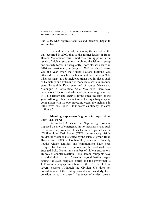AKINOLA EJODAME OLOJO – MUSLIMS, CHRISTIANS AND RELIGIOUS VIOLENCE IN NIGERIA

until 2009 when figures (fatalities and incidents) began to accumulate.

It would be recalled that among the several deaths that occurred in 2009, that of the former leader of Boko Haram, Mohammed Yusuf marked a turning point in the levels of violent encounters involving the Islamist group and security forces. Consequently, more clashes ensued in 2010 and particularly in (August) 2011 which of course was the year when the United Nations building was attacked. Events reached such a violent crescendo in 2012 when as many as 161 incidents transpired in places such as Damaturu and Potiskum in Yobe state, Zaria in Kaduna state, Tarauni in Kano state and of course Dikwa and Maiduguri in Borno state. As at May 2014, there have been about 31 violent death incidents involving members of Boko Haram and security forces since the start of the year. Although this may not reflect a high frequency in comparison with the two preceding years, the incidents in 2014 reveal well over 3, 000 deaths as already indicated in figure 5.

# **Islamic group versus Vigilante Group/Civilian Joint Task Force**

By mid-2013 when the Nigerian government imposed a state of emergency in northeastern states such as Borno, the formation of what is now regarded as the 'Civilian Joint Task Force' (CJTF) became very visible amidst the violence instigated by the Islamist group Boko Haram. Since 2013 the Civilian JTF, comprised of mainly youths whose families and communities have been ravaged by the state of unrest in the northeast, has engaged Boko Haram in a number of violent encounters. By way of counter-reaction, Boko Haram insurgents have extended their scope of attacks beyond battles waged against the state, religious clerics and the government's JTF to now engage members of the Civilian JTF in several clashes. Although the Civilian JTF does not constitute one of the leading variables of this study, their contribution to the overall frequency of violent deaths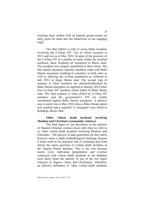resulting from clashes with an Islamist group creates an entry point for them into the framework of our mapping study.

Our data reflects a total of seven lethal incidents involving the Civilian JTF, five of which occurred in 2013 and two as at May 2014. In spite of the presence of the Civilian JTF in a number of states within the troubled northeast, these incidents all transpired in Borno state. The incidents have largely manifested in three forms. The first entails situations whereby members clash with Boko Haram insurgents resulting in casualties on both sides as well as affecting the civilian population as reflected in July 2013 in Kaga, Borno state. The second type of instance is when members are attacked/ambushed by Boko Haram insurgents as reported in January 2014 when four Civilian JTF members where killed in Mafa, Borno state. The final scenario is when efforts by Civilian JTF members and the government's JTF are jointly coordinated against Boko Haram insurgents. A positive case in point was in May 2014 when a Boko Haram attack was repelled and a reported 15 insurgents were killed in Konduga, Borno state.

# **Other violent death incidents involving Muslims and Christians (community violence)**

The final aspect of our discussion on the patterns of Muslim-Christian violence deals with what we refer to as 'other violent death incidents involving Muslims and Christians'. The process of data generation for this rubric however raises a slight methodological challenge because it lends itself to the potential risk of including data from almost the entire spectrum of violent death incidents in the Nigeria Watch database. This is the case because nearly every individual (perpetrators and victims) connected with violent death incidents in the database most likely bears the identity of one of the two major religions in Nigeria—Islam and Christianity. Therefore, an effective definition of 'other violent death incidents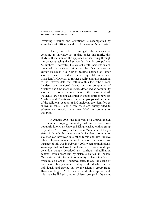AKINOLA EJODAME OLOJO – MUSLIMS, CHRISTIANS AND RELIGIOUS VIOLENCE IN NIGERIA

involving Muslims and Christians' is accompanied by some level of difficulty and risk for meaningful analysis.

Hence, in order to mitigate the chances of collating an unwieldy set of data under this rubric, this study still maintained the approach of searching through the database using the key words 'Islamic groups' and 'Churches'. Thereafter, the violent death incidents which remained after data selection and classification into the earlier discussed five rubrics became defined as 'other violent death incidents involving Muslims and Christians'. However, to further qualify and give meaning to the leftover data that fell into this last rubric, each incident was analysed based on the complicity of Muslims and Christians in issues described as community violence. In other words, these 'other violent death incidents' are not consequential to direct conflict between Muslims and Christians or between groups within either of the religions. A total of 332 incidents are identified as shown in table 1 and a few cases are briefly cited to substantiate exactly what we label as community violence.

In August 2006, the followers of a Church known as Christian Praying Assembly whose overseer was popularly known as Reverend King, clashed with a group of youths (Area Boys) in the Ebute-Metta area of Lagos state. Although this was a single incident, community violence can however take other forms and also involve other religious actors as well as more casualties. An instance of this was in February 2008 when 60 individuals were reported to have been tortured to death in illegal detention camps described as 'spiritual rehabilitation centres' which were run by 'Islamic clerics' in Ibadan, Oyo state. A third form of community violence involved a town called Gobi in Adamawa state. It was the scene of two bank robbery attacks leading to the death of seven individuals and carried out by the Islamist group Boko Haram in August 2011. Indeed, while this type of bank raid may be linked to other sinister groups in the state,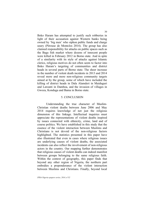Boko Haram has attempted to justify such robberies in light of their accusation against Western banks being owned by 'big men' who siphon public funds and charge usury (Pérouse de Montclos 2014). The group has also claimed responsibility for attacks on public spaces such as the Baga fish market where dozens of innocent people were killed in February 2012 in Borno state. And in spite of a similarity with its style of attacks against Islamic clerics, religious motives do not often seem to factor into Boko Haram's targeting of communities and district heads in several parts of Borno state. The sheer increase in the number of violent death incidents in 2013 and 2014 reveal more and more non-religious community targets aimed at by the group, some of which have included the killing of district heads in Dala Alamderi in Maiduguri and Lawanti in Damboa, and the invasion of villages in Gwoza, Konduga and Bama in Borno state.

#### 5. CONCLUSION

Understanding the true character of Muslim-Christian violent deaths between June 2006 and May 2014 requires knowledge of not just the religious dimension of this linkage. Intellectual inquiries must appreciate the representations of violent deaths inspired by issues connected with ethnicity, crime, land and of course politics. We have established in this study that the essence of the violent interaction between Muslims and Christians is not devoid of the non-religious factors highlighted. The statistics presented in this paper have also illustrated that even in cases where religious issues are underlying causes of violent deaths, the associated incidents can also reflect the involvement of non-religious actors in the country. Our mapping further demonstrates that religious causes of violent deaths can indeed manifest between groups belonging to the same religious faith. Within the context of geography, this paper finds that beyond any other region of Nigeria, the northern part embodies a preponderance of the violent interaction between Muslims and Christians. Finally, beyond local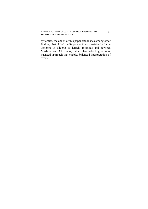dynamics, the annex of this paper establishes among other findings that global media perspectives consistently frame violence in Nigeria as largely religious and between Muslims and Christians, rather than adopting a more nuanced approach that enables balanced interpretation of events.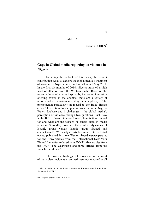### ANNEX

Corentin COHEN<sup>\*</sup>

# **Gaps in Global media reporting on violence in Nigeria**

Enriching the outlook of this paper, the present contribution seeks to explore the global media's treatment of violence in Nigeria between June 2006 and May 2014. In the first six months of 2014, Nigeria attracted a high level of attention from the Western media. Based on the recent volume of articles inspired by increasing interest in ongoing events in the country, there are a variety of reports and explanations unveiling the complexity of the phenomenon particularly in regard to the Boko Haram crisis. This section draws upon information in the Nigeria Watch database and it challenges the global media's perception of violence through two questions. First, how is the Boko Haram violence framed, how is it accounted for and what are the reasons or causes cited in media articles? Secondly, how are the conflict dynamics of Islamic group versus Islamic group framed and characterised? We analyse articles related to selected events published in three Western-based newspapers as follows: Two articles from the 'International New York Times' (hereafter referred to as INYT); five articles from the UK's 'The Guardian'; and three articles from the French 'Le Monde'.

The principal findings of this research is that most of the violent incidents examined were not reported at all

PhD Candidate in Political Science and International Relations, Sciences Po/CERI

*IFRA-Nigeria epapers series, 2014, n°32*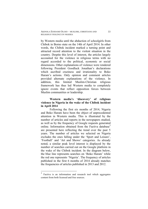AKINOLA EJODAME OLOJO – MUSLIMS, CHRISTIANS AND RELIGIOUS VIOLENCE IN NIGERIA

by Western media until the abduction of schoolgirls from Chibok in Borno state on the 14th of April 2014. In other words, the Chibok incident marked a turning point and attracted record attention to the violent situation in the country. Despite this level of interest, the articles largely accounted for the violence in religious terms with no regard accorded to the political, economic or social dimensions. Other explanations of violence were rendered following President Goodluck Jonathan's declarations which ascribed craziness and irrationality to Boko Haram's actions. Only opinion and comment articles provided alternate explanations of the violence. In addition, this limited Muslim-Christian religious framework has thus led Western media to completely ignore events that reflect opposition forces between Muslim communities or leadership.

# **Western media's 'discovery' of religious violence in Nigeria in the wake of the Chibok incident in April 2014**

Following the first six months of 2014, Nigeria and Boko Haram have been the object of unprecedented attention in Western media. This is illustrated by the number of articles and reports in the newspapers studied, as well as by the frequency of Google requests generated online. Information obtained from the Factiva database<sup>3</sup> are presented here reflecting the trend over the past 5 years. The number of articles we selected on Nigeria excludes the ones falling under the 'Sport and Leisure', 'Football' and 'Art and Shows' categories. As already noted, a similar peak level interest is displayed by the number of searches carried out on the Google platform in the wake of the Chibok incident. In the diagram below, the blue line represents searches on 'Boko Haram' while the red one represents 'Nigeria'. The frequency of articles published in the first 6 months of 2014 already matches the frequencies of articles published in 2013 and 2012.

<sup>&</sup>lt;sup>3</sup> Factiva is an information and research tool which aggregates content from both licensed and free sources.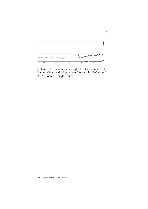

Volume of research on Google for the words 'Boko Haram' (blue) and 'Nigeria' (red) from mid-2005 to mid-2014. Source: Google Trends

*IFRA-Nigeria epapers series, 2014, n°32*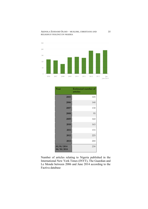#### AKINOLA EJODAME OLOJO – MUSLIMS, CHRISTIANS AND RELIGIOUS VIOLENCE IN NIGERIA



| Year                     | <b>Estimated number of</b><br>articles |
|--------------------------|----------------------------------------|
| 2005                     | 145                                    |
| 2006                     | 140                                    |
| 2007                     | 130                                    |
| 2008                     | 95                                     |
| 2009                     | 160                                    |
| 2010                     | 165                                    |
| 2011                     | 155                                    |
| 2012                     | 225                                    |
| 2013                     | 200                                    |
| 01/01/2014<br>06/30/2014 | 230                                    |

Number of articles relating to Nigeria published in the International New York Times (INYT), The Guardian and Le Monde between 2006 and June 2014 according to the Factiva database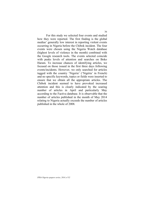For this study we selected four events and studied how they were reported. The first finding is the global medias' generally low interest in reporting violent events occurring in Nigeria before the Chibok incident. The four events were chosen using the Nigeria Watch database (highest levels of violence in the month) combined with the Google research tools. The events selected coincide with peaks levels of attention and searches on Boko Haram. To increase chances of identifying articles, we focused on those issued in the first three days following events/incidents. However, we only searched for articles tagged with the country 'Nigeria' ('Nigéria' in French) and no specific keywords, topics or fields were inserted to ensure that we obtain all the appropriate articles. The Chibok incident seemed to have provoked increased attention and this is clearly indicated by the soaring number of articles in April and particularly May according to the Factiva database. It is observable that the number of articles published in the month of May 2014 relating to Nigeria actually exceeds the number of articles published in the whole of 2008.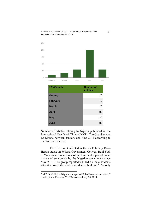#### AKINOLA EJODAME OLOJO – MUSLIMS, CHRISTIANS AND RELIGIOUS VIOLENCE IN NIGERIA



Number of articles relating to Nigeria published in the International New York Times (INYT), The Guardian and Le Monde between January and June 2014 according to the Factiva database

The first event selected is the 25 February Boko Haram attack on Federal Government College, Buni Yadi in Yobe state. Yobe is one of the three states placed under a state of emergency by the Nigerian government since May 2013. The group reportedly killed 43 male students after it stormed the student residential building.<sup>4</sup> The only

 $\frac{1}{4}$  AFP, "43 killed in Nigeria in suspected Boko Haram school attack," Khaleejtimes, February 26, 2014 accessed July 28, 2014,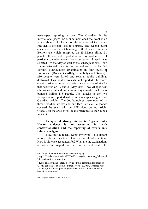newspaper reporting it was The Guardian in its international pages. Le Monde mentioned the event in an article about Boko Haram on the occasion of the French President's official visit to Nigeria. The second event considered is a market bombing in the town of Bama in Borno state which transpired on 23 March killing 31 people. It was not reported at all so another set of particularly violent events that occurred on 11 April was selected. On that day as well as the subsequent day, Boko Haram attacked students due to undertake the Unified Tertiary Matriculation Examination in four towns of Borno state (Dikwa, Kala-Balge, Gambulga and Gwoza).<sup>5</sup> 210 people were killed and several public buildings destroyed. This incident was also not reported. The fourth event considered in our analysis is a succession of attacks that occurred on 19 and 20 May 2014. Two villages near Chibok were hit and on the same day a market in Jos was bombed killing 118 people. The attacks in the two villages were reported with comments appearing in two Guardian articles. The Jos bombings were reported in three Guardian articles and one INYT article. Le Monde covered the event with an AFP video but no article. Overall, all the articles still made reference to the Chibok incident.

# **In spite of strong interest in Nigeria, Boko Haram violence is not accounted for with contextualisation and the reporting of events only refers to religion**

How are the recent events involving Boko Haram reported during this time of increasing global attention? How is violence accounted for? What are the explanations advanced in regard to the current upheaval? To

*IFRA-Nigeria epapers series, 2014, n°32*

http://www.khaleejtimes.com/kt-article-display-

<sup>1.</sup>asp?xfile=data/international/2014/February/international\_February7 38.xml&section=international

<sup>5</sup> Kayode Idowu and Fidelis Soriwei, "Boko Haram kills Scores of UTME candidates in Borno," Punch, April 12, 2014, accessed July 28, 2014, http://www.punchng.com/news/utme-students-killed-inboko-haram-attacks/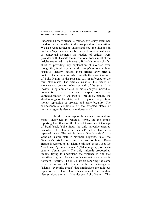AKINOLA EJODAME OLOJO – MUSLIMS, CHRISTIANS AND RELIGIOUS VIOLENCE IN NIGERIA

understand how violence is framed, this study examined the descriptions ascribed to the group and its organisation. We also went further to understand how the situation in northern Nigeria was described, as well as what historical or contextual elements the readers of articles were provided with. Despite the international focus, most of the articles examined in reference to Boko Haram attacks fall short of providing any explanation of violence even though they implicitly define the group's actions with an 'Islamic' identity. Indeed, most articles only offer a context of interpretation which recalls the violent actions of Boko Haram in the past and still in reference to the term 'Islamism'. The articles insist on the details of violence and on the modus operandi of the group. It is mostly in opinion articles or more analytic individual comments that alternate explanations and contextualisation of violence is provided, namely the shortcomings of the state, lack of regional cooperation, violent repression of protests and army brutality. The socioeconomic conditions of the affected states or northern region is also not mentioned at all.

In the three newspapers the events examined are mostly described in religious terms. In the article reporting the attack on the Federal Government College of Buni Yadi, Yobe State, the only adjective used to describe Boko Haram is 'Islamist' and in fact, it is repeated twice. The article details 'the Islamists' (…) want an Islamic state in Northern Nigeria'. In all the Guardian's articles reporting the Jos bombings, Boko Haram is referred to as 'Islamic militant' or as a sect. Le Monde uses 'groupe islamiste' ('Islamic group') or 'secte sunnite' ('sunni sect'). The only rationale proposed to readers trying to understand the violence is one that describes a group desiring to 'carve out a caliphate in northern Nigeria'. The INYT article reporting the same event refers to Boko Haram with the tautology of 'Islamist extremist group' that emphasises the religious aspect of the violence. One other article of The Guardian also employs the term 'Islamist sect Boko Haram'. This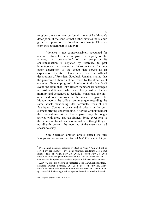religious dimension can be found in one of Le Monde's description of the conflict that further situates the Islamic group in opposition to President Jonathan (a Christian from the southern part of Nigeria).

Violence is not comprehensively accounted for and no historical context is given. In majority of the articles, the 'presentation' of the group or its contextualisation is depicted by reference to past bombings and once again the Chibok incident. The only other description of the group that serves as an explanation for its violence stem from the official declarations of President Goodluck Jonathan stating that the government should not be 'cowed by the atrocities of enemies of human progress'.<sup>6</sup> In relation to the Buni Yadi event, the claim that Boko Haram members are 'deranged terrorist and fanatics who have clearly lost all human morality and descended to bestiality' constitutes the only other additional information the reader is given. Le Monde reports the official communiqué regarding the same attack mentioning 'des terroristes fous et des fanatiques' ('crazy terrorists and fanatics')<sup>7</sup> as the only element offering understanding. After the Chibok incident the renewed interest in Nigeria paved way for longer articles with more analytic frames. Some exceptions to the pattern we found can be observed even though they do not directly concern the reporting of the events we had chosen to study.

One Guardian opinion article carried the title 'Coups and terror are the fruit of NATO's war in Libya:

 $6$  Presidential statement released by Reuben Abati " 'We will not be cowed by the enemy' - President Jonathan condemns Jos Bomb Blast," Talk of Naija, May 20, 2014, accessed July 28, 2014 http://www.talkofnaija.com/politics/we-will-not-be-cowed-by-theenemy-president-jonathan-condemns-jos-bomb-blast-read-statement  $7$  AFP, "43 killed in Nigeria in suspected Boko Haram school attack,"

Standard Digital, February 26, 2014, accessed July 28, 2014, http://www.standardmedia.co.ke/mobile/?articleID=2000105562&sto ry\_title=43-killed-in-nigeria-in-suspected-boko-haram-school-attack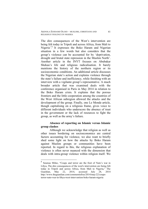AKINOLA EJODAME OLOJO – MUSLIMS, CHRISTIANS AND RELIGIOUS VIOLENCE IN NIGERIA

The dire consequences of the West's intervention are being felt today in Tripoli and across Africa, from Mali to Nigeria'.<sup>8</sup> It expresses the Boko Haram and Nigerian situation in a few words but also considers that the group's violence can be accounted for by 'deprivation, drought and brutal state repression in the Muslim North'. Another article in the INYT focuses on Abubakar Shekau's life and religious radicalisation. It barely mentions the history of the northern region or its socioeconomic conditions. An additional article discusses the Nigerian state's action and explains violence through the state's failure and inefficiency, while finishing with an interview with a vigilante group's representative. A much broader article that was examined deals with the conference organised in Paris in May 2014 in relation to the Boko Haram crisis. It explains that the porous frontiers and the little cooperation among the countries of the West African subregion allowed the attacks and the development of the group. Finally, one Le Monde article, though capitalising on a religious frame, gives voice to different individuals who underscore the absence of trust in the government or the lack of resources to fight the group, as well as the army's failure.

# **Absence of reporting on Islamic versus Islamic group clashes**

Although we acknowledge that religion as well as other issues bordering on socioeconomics are central factors accounting for violence, we also want to briefly shed some light on how the attacks by Boko Haram against Muslim groups or communities have been reported. In regard to this, the religious explanation of violence is often never nuanced with the dimension that deals with intra-group violence within religion itself. We

 <sup>8</sup> Seumas Milne, "Coups and terror are the fruit of Nato's war in Libya, The dire consequences of the west's intervention are being felt today in Tripoli and across Africa, from Mali to Nigeria," The Guardian, May 22, 2014, accessed July 28, 2014 http://www.theguardian.com/commentisfree/2014/may/22/coupsterror-nato-war-in-libya-west-intervention-boko-haram-nigeria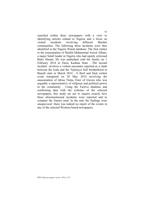searched within three newspapers with a view to identifying articles related to Nigeria and a focus on violent incidents involving different Muslim communities. The following three incidents were thus identified in the Nigeria Watch database: The first relates to the assassination of Sheikh Muhammad Auwal Albani, a major Salafi leader in Nigeria who had openly criticised Boko Haram. He was ambushed with his family on 1 February 2014 in Zaria, Kaduna State . The second incident involves a violent encounter reported as a clash between the Izala and the Tijaniyya Sufi brotherhood in Bauchi state in March 2014 . A third and final violent event transpired on 30 May 2014 involving the assassination of Idrisa Timta, Emir of Gwoza who was arguably a representative of religious and political power in the community . Using the Factiva database and confirming data with the websites of the selected newspapers, this study set out to inquire exactly how these aforementioned incidents were reported and to compare the frames used. In the end, the findings were unequivocal: there was indeed no report of the events in any of the selected Western-based newspapers.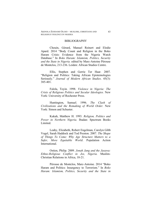#### BIBLIOGRAPHY

Chouin, Gérard, Manuel Reinert and Elodie Apard. 2014 "Body Count and Religion in the Boko Haram Crisis: Evidence from the Nigeria Watch Database." In *Boko Haram: Islamism, Politics, Security and the State in Nigeria.* edited by Marc-Antoine Pérouse de Montclos, 213-236. Leiden: African Studies Centre.

Ellis, Stephen and Gerrie Ter Haar. 2007. "Religion and Politics: Taking African Epistemologies Seriously." *Journal of Modern African Studies*. 45(3): 385-401.

Falola, Toyin. 1998. *Violence in Nigeria: The Crisis of Religious Politics and Secular Ideologies.* New York: University of Rochester Press.

Huntington, Samuel. 1996. *The Clash of Civilizations and the Remaking of World Order.* New York: Simon and Schuster.

Kukah, Matthew H. 1993. *Religion, Politics and Power in Northern Nigeria.* Ibadan: Spectrum Books Limited.

Leahy, Elizabeth, Robert Engelman, Carolyn Gibb Vogel, Sarah Haddock and Tod Preston. 2007. *The Shape of Things To Come: Why Age Structure Matters to a Safer, More Equitable World*. Population Action **International** 

Ostien, Philip. 2009. *Jonah Jang and the Jasawa: Ethno-Religious Conflict in Jos, Nigeria.* Muslim-Christian Relations in Africa, 18-21.

Pérouse de Montclos, Marc-Antoine. 2014 "Boko Haram and Politics: Insurgency to Terrorism." In *Boko Haram: Islamism, Politics, Security and the State in*